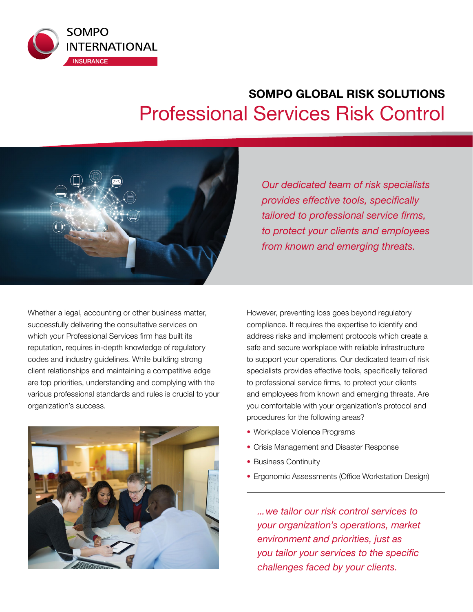

# **SOMPO GLOBAL RISK SOLUTIONS**  Professional Services Risk Control



Whether a legal, accounting or other business matter, successfully delivering the consultative services on which your Professional Services firm has built its reputation, requires in-depth knowledge of regulatory codes and industry guidelines. While building strong client relationships and maintaining a competitive edge are top priorities, understanding and complying with the various professional standards and rules is crucial to your organization's success.



*Our dedicated team of risk specialists provides effective tools, specifically tailored to professional service firms, to protect your clients and employees from known and emerging threats.*

However, preventing loss goes beyond regulatory compliance. It requires the expertise to identify and address risks and implement protocols which create a safe and secure workplace with reliable infrastructure to support your operations. Our dedicated team of risk specialists provides effective tools, specifically tailored to professional service firms, to protect your clients and employees from known and emerging threats. Are you comfortable with your organization's protocol and procedures for the following areas?

- Workplace Violence Programs
- Crisis Management and Disaster Response
- Business Continuity
- Ergonomic Assessments (Office Workstation Design)

*...we tailor our risk control services to your organization's operations, market environment and priorities, just as you tailor your services to the specific challenges faced by your clients.*